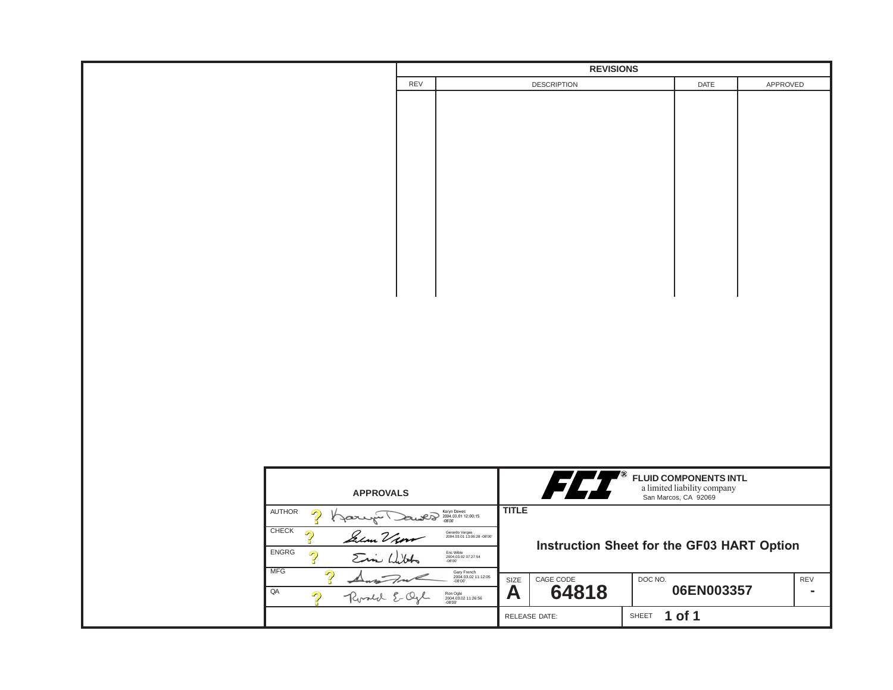|                            | <b>REVISIONS</b>                                         |                                               |                                            |                                                                                     |         |            |          |                |  |
|----------------------------|----------------------------------------------------------|-----------------------------------------------|--------------------------------------------|-------------------------------------------------------------------------------------|---------|------------|----------|----------------|--|
|                            | REV                                                      |                                               |                                            | <b>DESCRIPTION</b>                                                                  |         | DATE       | APPROVED |                |  |
|                            |                                                          |                                               |                                            |                                                                                     |         |            |          |                |  |
|                            |                                                          |                                               |                                            |                                                                                     |         |            |          |                |  |
|                            |                                                          |                                               |                                            |                                                                                     |         |            |          |                |  |
|                            |                                                          |                                               |                                            |                                                                                     |         |            |          |                |  |
|                            |                                                          |                                               |                                            |                                                                                     |         |            |          |                |  |
|                            |                                                          |                                               |                                            |                                                                                     |         |            |          |                |  |
|                            |                                                          |                                               |                                            |                                                                                     |         |            |          |                |  |
|                            |                                                          |                                               |                                            |                                                                                     |         |            |          |                |  |
|                            |                                                          |                                               |                                            |                                                                                     |         |            |          |                |  |
|                            |                                                          |                                               |                                            |                                                                                     |         |            |          |                |  |
|                            |                                                          |                                               |                                            |                                                                                     |         |            |          |                |  |
|                            |                                                          |                                               |                                            |                                                                                     |         |            |          |                |  |
|                            |                                                          |                                               |                                            |                                                                                     |         |            |          |                |  |
|                            |                                                          |                                               |                                            |                                                                                     |         |            |          |                |  |
|                            |                                                          |                                               |                                            |                                                                                     |         |            |          |                |  |
|                            |                                                          |                                               |                                            |                                                                                     |         |            |          |                |  |
|                            |                                                          |                                               |                                            |                                                                                     |         |            |          |                |  |
|                            |                                                          |                                               |                                            |                                                                                     |         |            |          |                |  |
|                            |                                                          |                                               |                                            |                                                                                     |         |            |          |                |  |
|                            |                                                          |                                               |                                            |                                                                                     |         |            |          |                |  |
|                            |                                                          |                                               |                                            |                                                                                     |         |            |          |                |  |
|                            |                                                          |                                               |                                            |                                                                                     |         |            |          |                |  |
|                            |                                                          |                                               |                                            |                                                                                     |         |            |          |                |  |
|                            |                                                          |                                               |                                            |                                                                                     |         |            |          |                |  |
|                            |                                                          |                                               |                                            |                                                                                     |         |            |          |                |  |
|                            |                                                          |                                               |                                            |                                                                                     |         |            |          |                |  |
|                            |                                                          |                                               |                                            |                                                                                     |         |            |          |                |  |
|                            |                                                          |                                               |                                            |                                                                                     |         |            |          |                |  |
|                            |                                                          |                                               |                                            |                                                                                     |         |            |          |                |  |
|                            |                                                          |                                               |                                            |                                                                                     |         |            |          |                |  |
|                            |                                                          |                                               |                                            |                                                                                     |         |            |          |                |  |
|                            |                                                          |                                               |                                            |                                                                                     |         |            |          |                |  |
|                            | <b>APPROVALS</b>                                         |                                               |                                            |                                                                                     |         |            |          |                |  |
|                            |                                                          |                                               |                                            | <b>FLUID COMPONENTS INTL</b><br>a limited liability company<br>San Marcos, CA 92069 |         |            |          |                |  |
|                            |                                                          |                                               |                                            |                                                                                     |         |            |          |                |  |
| AUTHOR<br>$\mathbb{R}$     |                                                          | Karyn Dawes<br>2004.03.01 12:00:15            | <b>TITLE</b>                               |                                                                                     |         |            |          |                |  |
| <b>CHECK</b>               |                                                          |                                               |                                            |                                                                                     |         |            |          |                |  |
| $\mathbb{P}$               | Gerardo Vargas<br>2004.03.01 13:06:28 -08'00'<br>&em Vum |                                               |                                            |                                                                                     |         |            |          |                |  |
| ENGRG                      |                                                          |                                               | Instruction Sheet for the GF03 HART Option |                                                                                     |         |            |          |                |  |
| $\mathbb{R}$<br>Ein Libbs  |                                                          | Eric Wible<br>2004.03.02 07:27:54<br>-08'00'  |                                            |                                                                                     |         |            |          |                |  |
| <b>MFG</b><br>$\mathbb{R}$ |                                                          | Gary French<br>2004.03.02 11:12:05<br>-08'00' | SIZE                                       | CAGE CODE                                                                           | DOC NO. |            |          | REV            |  |
| $\overline{\mathsf{QA}}$   |                                                          |                                               |                                            | 64818                                                                               |         | 06EN003357 |          | $\blacksquare$ |  |
| $\mathbb{R}$<br>Rosed E.Q  |                                                          | Ron Ogle<br>2004.03.02 11:26:56<br>-08'00'    | A                                          |                                                                                     |         |            |          |                |  |
|                            |                                                          |                                               | RELEASE DATE:                              |                                                                                     | SHEET   | 1 of 1     |          |                |  |
|                            |                                                          |                                               |                                            |                                                                                     |         |            |          |                |  |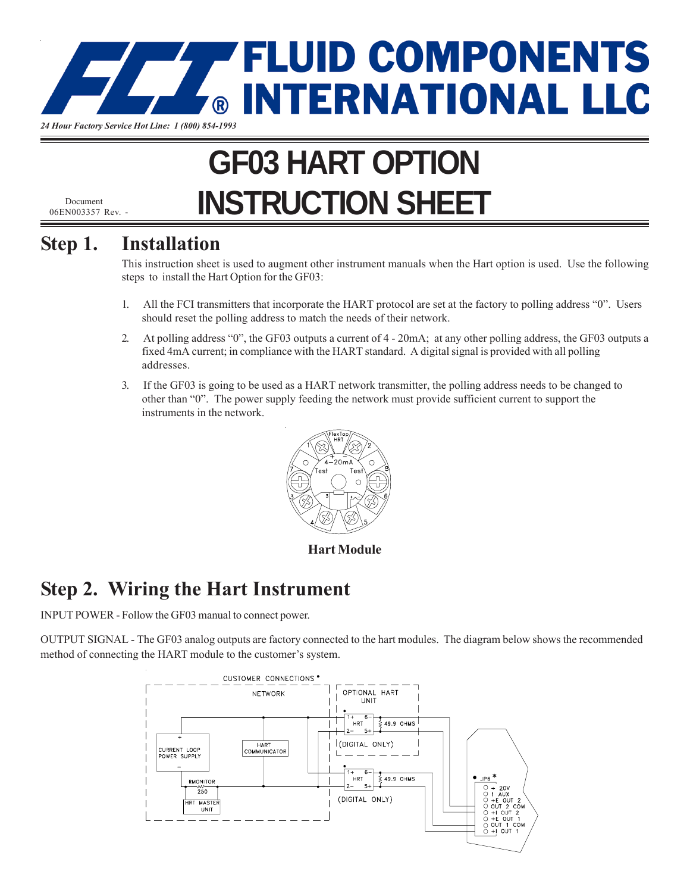

# **GF03 HART OPTION INSTRUCTION SHEET**

06EN003357 Rev. -

#### **Step 1. Installation**

This instruction sheet is used to augment other instrument manuals when the Hart option is used. Use the following steps to install the Hart Option for the GF03:

- 1. All the FCI transmitters that incorporate the HART protocol are set at the factory to polling address "0". Users should reset the polling address to match the needs of their network.
- 2. At polling address "0", the GF03 outputs a current of 4 20mA; at any other polling address, the GF03 outputs a fixed 4mA current; in compliance with the HART standard. A digital signal is provided with all polling addresses.
- 3. If the GF03 is going to be used as a HART network transmitter, the polling address needs to be changed to other than "0". The power supply feeding the network must provide sufficient current to support the instruments in the network.



**Hart Module**

## **Step 2. Wiring the Hart Instrument**

INPUT POWER - Follow the GF03 manual to connect power.

OUTPUT SIGNAL - The GF03 analog outputs are factory connected to the hart modules. The diagram below shows the recommended method of connecting the HART module to the customer's system.